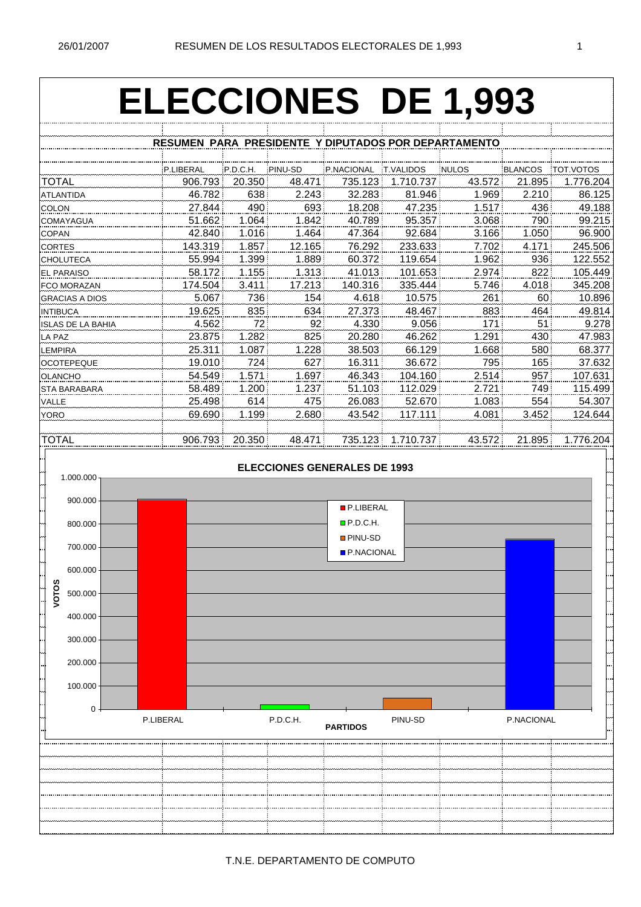## **ELECCIONES DE 1,993**

|                          | RESUMEN PARA PRESIDENTE Y DIPUTADOS POR DEPARTAMENTO |          |         |            |                  |              |         |                  |
|--------------------------|------------------------------------------------------|----------|---------|------------|------------------|--------------|---------|------------------|
|                          |                                                      |          |         |            |                  |              |         |                  |
|                          | P.LIBERAL                                            | P.D.C.H. | PINU-SD | P.NACIONAL | <b>T.VALIDOS</b> | <b>NULOS</b> | BLANCOS | <b>TOT VOTOS</b> |
| TOTAL                    | 906.793                                              | 20.350   | 48.471  | 735.123    | 1.710.737        | 43.572       | 21.895  | 1.776.204        |
| <b>ATLANTIDA</b>         | 46.782                                               | 638      | 2.243   | 32.283     | 81.946           | 1.969        | 2.210   | 86.125           |
| <b>COLON</b>             | 27.844                                               | 490      | 693     | 18.208     | 47.235           | 1.517        | 436     | 49.188           |
| COMAYAGUA                | 51.662                                               | 1.064    | 1.842   | 40.789     | 95.357           | 3.068        | 790     | 99.215           |
| <b>COPAN</b>             | 42.840                                               | 1.016    | 1.464   | 47.364     | 92.684           | 3.166        | 1.050   | 96.900           |
| <b>CORTES</b>            | 143.319                                              | 1.857    | 12.165  | 76.292     | 233.633          | 7.702        | 4.171   | 245.506          |
| <b>CHOLUTECA</b>         | 55.994                                               | 1.399    | 1.889   | 60.372     | 119.654          | 1.962        | 936     | 122.552          |
| <b>EL PARAISO</b>        | 58.172                                               | 1.155    | 1.313   | 41.013     | 101.653          | 2.974        | 822     | 105.449          |
| <b>FCO MORAZAN</b>       | 174.504                                              | 3.411    | 17.213  | 140.316    | 335.444          | 5.746        | 4.018   | 345.208          |
| <b>GRACIAS A DIOS</b>    | 5.067                                                | 736      | 154     | 4.618      | 10.575           | 261          | 60      | 10.896           |
| <b>INTIBUCA</b>          | 19.625                                               | 835      | 634     | 27.373     | 48.467           | 883          | 464     | 49.814           |
| <b>ISLAS DE LA BAHIA</b> | 4.562                                                | 72       | 92      | 4.330      | 9.056            | 171          | 51      | 9.278            |
| LA PAZ                   | 23.875                                               | 1.282    | 825     | 20.280     | 46.262           | 1.291        | 430     | 47.983           |
| <b>LEMPIRA</b>           | 25.311                                               | 1.087    | 1.228   | 38.503     | 66.129           | 1.668        | 580     | 68.377           |
| <b>OCOTEPEQUE</b>        | 19.010                                               | 724      | 627     | 16.311     | 36.672           | 795          | 165     | 37.632           |
| <b>OLANCHO</b>           | 54.549                                               | 1.571    | 1.697   | 46.343     | 104.160          | 2.514        | 957     | 107.631          |
| <b>STA BARABARA</b>      | 58.489                                               | 1.200    | 1.237   | 51.103     | 112.029          | 2.721        | 749     | 115.499          |
| VALLE                    | 25.498                                               | 614      | 475     | 26.083     | 52.670           | 1.083        | 554     | 54.307           |
| YORO                     | 69.690                                               | 1.199    | 2.680   | 43.542     | 117.111          | 4.081        | 3.452   | 124.644          |
|                          |                                                      |          |         |            |                  |              |         |                  |
| TOTAL                    | 906.793                                              | 20.350   | 48.471  | 735.123    | 1.710.737        | 43.572       | 21.895  | 1.776.204        |



T.N.E. DEPARTAMENTO DE COMPUTO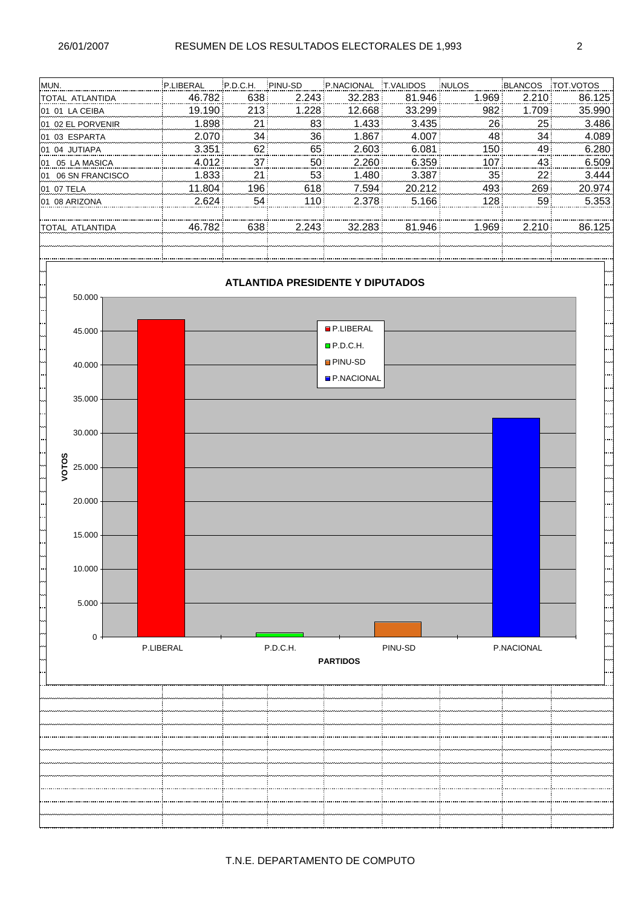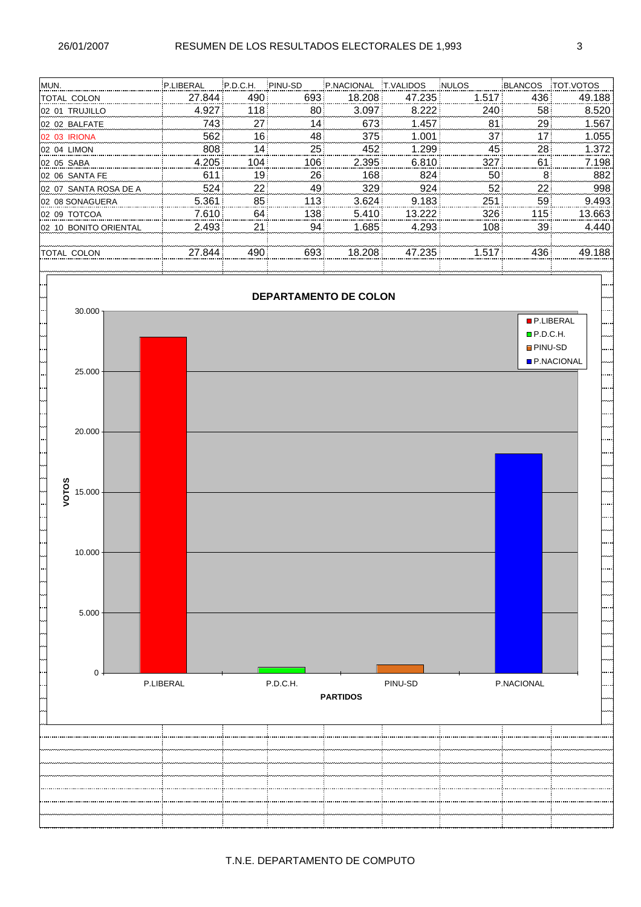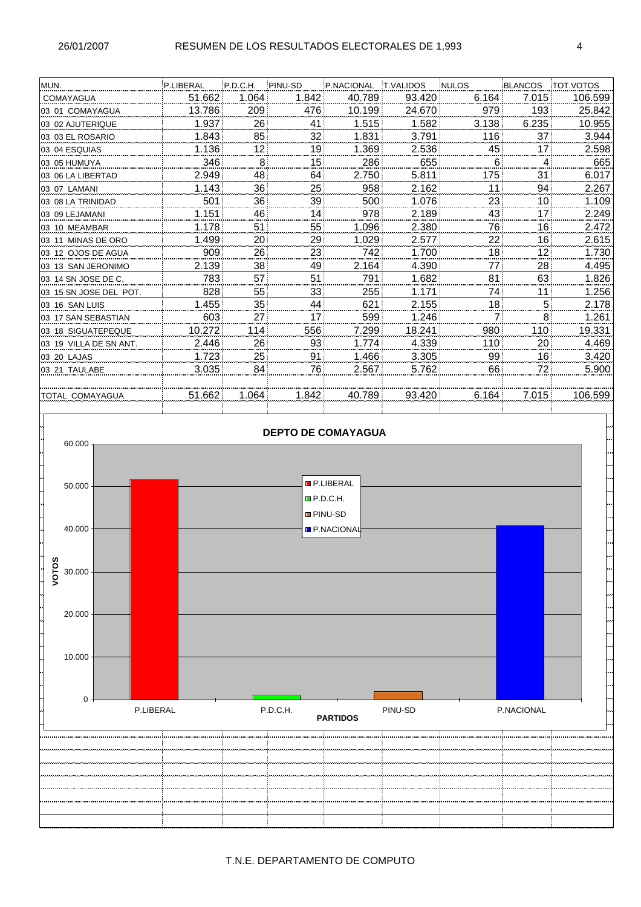| MUN.                   | P.LIBERAL | P.D.C.H.        | PINU-SD         | P.NACIONAL | <b>T.VALIDOS</b> | <b>NULOS</b> | BLANCOS          | <b>TOT VOTOS</b> |
|------------------------|-----------|-----------------|-----------------|------------|------------------|--------------|------------------|------------------|
| COMAYAGUA              | 51.662    | 1.064           | 1.842           | 40.789     | 93.420           | 6.164        | 7.015            | 106.599          |
| 03 01 COMAYAGUA        | 13.786    | 209             | 476             | 10.199     | 24.670           | 979          | 193 <sup>1</sup> | 25.842           |
| 03 02 AJUTERIQUE       | 1.937     | 26              | 41              | 1.515      | 1.582            | 3.138        | 6.235            | 10.955           |
| 03 03 EL ROSARIO       | 1.843     | 85              | 32 <sub>1</sub> | 1.831      | 3.791            | 116          | 37 <sup>1</sup>  | 3.944            |
| I03 04 ESQUIAS         | 1.136     | 12              | 19 <sup>1</sup> | 1.369      | 2.536            | 45           | 17 <sup>1</sup>  | 2.598            |
| 03 05 HUMUYA           | 346       | $8^{\circ}$     | 15 <sup>1</sup> | 286        | 655              | 6            | $\overline{4}$   | 665              |
| I03 06 LA LIBERTAD     | 2.949     | 48              | 64              | 2.750      | 5.811            | 175          | 31               | 6.017            |
| 03 07 LAMANI           | 1.143     | 36              | 25              | 958        | 2.162            | 11           | 94               | 2.267            |
| 103 08 LA TRINIDAD     | 501       | 36 <sup>1</sup> | 39 <sup>1</sup> | 500        | 1.076            | 23           | 10               | 1.109            |
| 03 09 LEJAMANI         | 1.151     | 46              | 14              | 978        | 2.189            | 43           | 171              | 2.249            |
| 03 10 MEAMBAR          | 1.178     | 51              | 55              | 1.096      | 2.380            | 76           | 16               | 2.472            |
| 03 11 MINAS DE ORO     | 1.499     | 20              | 29              | 1.029      | 2.577            | 22           | 16               | 2.615            |
| l03_12_OJOS DE AGUA    | 909       | 26              | 23              | 742        | 1.700            | 18           | 12 <sub>1</sub>  | 1.730            |
| 03 13 SAN JERONIMO     | 2.139     | 38              | 49              | 2.164      | 4.390            | 77           | 28!              | 4.495            |
| 03 14 SN JOSE DE C,    | 783       | 57              | 51              | 791        | 1.682            | 81           | 63               | 1.826            |
| 03 15 SN JOSE DEL POT. | 828       | 55              | 33 <sup>1</sup> | 255        | 1.171            | 74           | 11               | 1.256            |
| 03 16 SAN LUIS         | 1.455     | 35 <sup>1</sup> | 44              | 621        | 2.155            | 18           | 5                | 2.178            |
| 03 17 SAN SEBASTIAN    | 603       | 27!             | 17              | 599        | 1.246            | 7            | 8                | 1.261            |
| 03 18 SIGUATEPEQUE     | 10.272    | 114             | 556             | 7.299      | 18.241           | 980          | 110              | 19.331           |
| 03 19 VILLA DE SN ANT. | 2.446     | 26              | 93              | 1.774      | 4.339            | 110          | !20              | 4.469            |
| 03 20 LAJAS            | 1.723     | 25              | 91              | 1.466      | 3.305            | 99           | 16 <sup>1</sup>  | 3.420            |
| 03 21 TAULABE          | 3.035     | 84              | 76              | 2.567      | 5.762            | 66           | 72               | 5.900            |
|                        |           |                 |                 |            |                  |              |                  |                  |
| <b>TOTAL COMAYAGUA</b> | 51.662    | 1.064           | 1.842           | 40.789     | 93.420           | 6.164        | 7.015            | 106.599          |
|                        |           |                 |                 |            |                  |              |                  |                  |

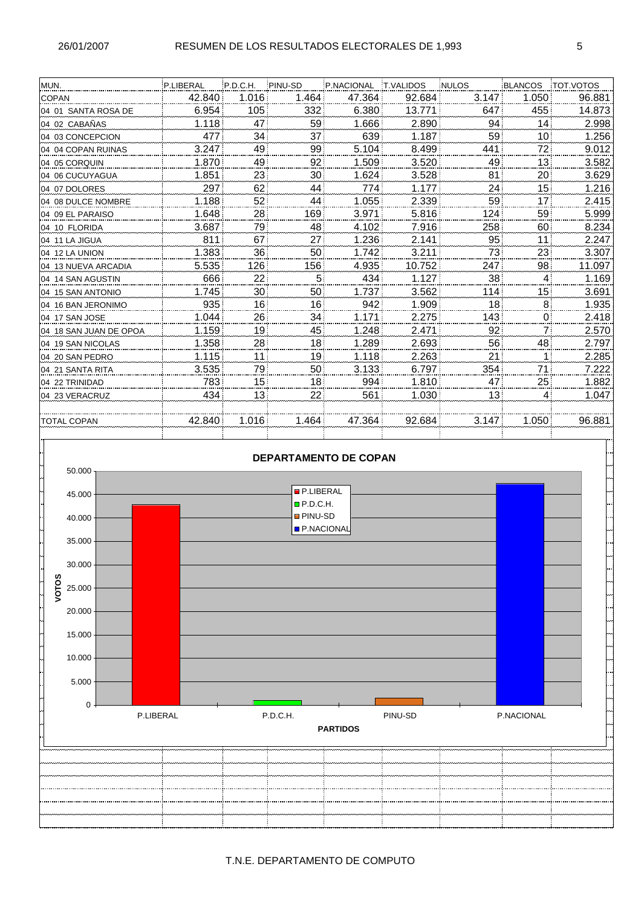| MUN.                   | P.LIBERAL | P.D.C.H.        | PINU-SD         | P.NACIONAL | <b>T.VALIDOS</b> | <b>NULOS</b> | BLANCOS         | <b>TOT.VOTOS</b> |
|------------------------|-----------|-----------------|-----------------|------------|------------------|--------------|-----------------|------------------|
| <b>COPAN</b>           | 42.840    | 1.016           | 1.464           | 47.364     | 92.684           | 3.147        | 1.050           | 96.881           |
| 104 01 SANTA ROSA DE   | 6.954     | 105             | 332             | 6.380      | 13.771           | 647          | 455             | 14.873           |
| 04 02 CABAÑAS          | 1.118     | 47              | 59              | 1.666      | 2.890            | 94           | 14              | 2.998            |
| 04 03 CONCEPCION       | 477       | 34              | 37              | 639        | 1.187            | 59           | 10 <sup>1</sup> | 1.256            |
| 04 04 COPAN RUINAS     | 3.247     | 49              | 99              | 5.104      | 8.499            | 441          | 72              | 9.012            |
| 04 05 CORQUIN          | 1.870     | 49              | 92              | 1.509      | 3.520            | 49           | 13 <sub>1</sub> | 3.582            |
| 04 06 CUCUYAGUA        | 1.851     | 23              | 30 <sub>1</sub> | 1.624      | 3.528            | 81           | 20              | 3.629            |
| 04 07 DOLORES          | 297       | 62              | 44              | 774        | 1.177            | 24           | 15              | 1.216            |
| 04 08 DULCE NOMBRE     | 1.188     | 52              | 44              | 1.055      | 2.339            | 59           | 17              | 2.415            |
| 04 09 EL PARAISO       | 1.648     | 28              | 169             | 3.971      | 5.816            | 124          | 59              | 5.999            |
| 04 10 FLORIDA          | 3.687     | 79              | 48              | 4.102      | 7.916            | 258          | 60              | 8.234            |
| 04 11 LA JIGUA         | 811       | 67              | 27              | 1.236      | 2.141            | 95           | 11              | 2.247            |
| 104 12 LA UNION        | 1.383     | 36              | 50 <sup>1</sup> | 1.742      | 3.211            | 73           | 23              | 3.307            |
| 04 13 NUEVA ARCADIA    | 5.535     | 126             | 156             | 4.935      | 10.752           | 247          | 98              | 11.097           |
| 04 14 SAN AGUSTIN      | 666       | 22              | 5               | 434        | 1.127            | 38           | 4               | 1.169            |
| 04 15 SAN ANTONIO      | 1.745     | 30              | 50              | 1.737      | 3.562            | 114          | 15 <sup>1</sup> | 3.691            |
| 04 16 BAN JERONIMO     | 935       | 16              | 16              | 942        | 1.909            | 18           | 8               | 1.935            |
| 04 17 SAN JOSE         | 1.044     | 26              | 34              | 1.171      | 2.275            | 143          | $\overline{0}$  | 2.418            |
| 04 18 SAN JUAN DE OPOA | 1.159     | 19              | 45              | 1.248      | 2.471            | 92           | $\overline{7}$  | 2.570            |
| 04 19 SAN NICOLAS      | 1.358     | 28              | 18 <sup>1</sup> | 1.289      | 2.693            | 56           | 48              | 2.797            |
| 04 20 SAN PEDRO        | 1.115     | 11              | 19              | 1.118      | 2.263            | 21           | 1               | 2.285            |
| 04 21 SANTA RITA       | 3.535     | 79              | 50              | 3.133      | 6.797            | 354          | 71              | 7.222            |
| 104 22 TRINIDAD        | 783       | 15 <sup>1</sup> | 18              | 994        | 1.810            | 47           | 25              | 1.882            |
| 04 23 VERACRUZ         | 434       | 13 <sub>1</sub> | 22              | 561        | 1.030            | 13           | 4               | 1.047            |
|                        |           |                 |                 |            |                  |              |                 |                  |
| <b>TOTAL COPAN</b>     | 42.840    | 1.016           | 1.464           | 47.364     | 92.684           | 3.147        | 1.050           | 96.881           |
|                        |           |                 |                 |            |                  |              |                 |                  |

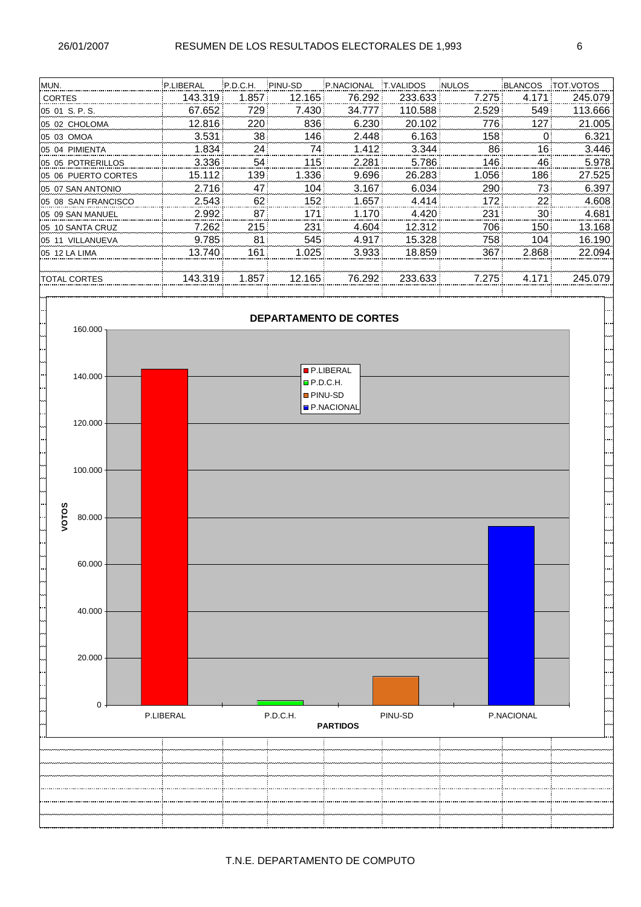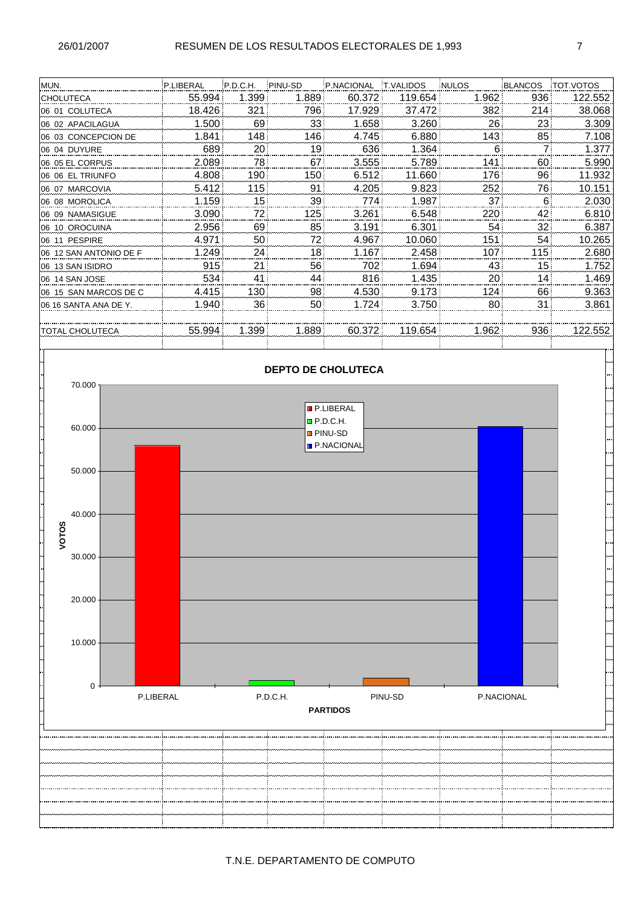| MUN.                    | P.LIBERAL | P.D.C.H.         | PINU-SD          | P.NACIONAL | <b>T.VALIDOS</b> | <b>NULOS</b> | BLANCOS | <b>TOT VOTOS</b> |
|-------------------------|-----------|------------------|------------------|------------|------------------|--------------|---------|------------------|
| <b>CHOLUTECA</b>        | 55.994    | 1.399            | 1.889            | 60.372     | 119.654          | 1.962        | 936     | 122.552          |
| 06 01 COLUTECA          | 18.426    | 321              | 796              | 17.929     | 37.472           | 382          | 214     | 38.068           |
| 06 02 APACILAGUA        | 1.500     | 69               | 33               | 1.658      | 3.260            | 26           | 23      | 3.309            |
| 06 03 CONCEPCION DE     | 1.841     | 1481             | 146              | 4.745      | 6.880            | 143          | 85      | 7.108            |
| 06 04 DUYURE            | 689       | 20۱              | 19               | 636        | 1.364            | 6            | 7       | 1.377            |
| 06 05 EL CORPUS         | 2.089     | 78               | 67               | 3.555      | 5.789            | 141          | 60      | 5.990            |
| 06 06 EL TRIUNFO        | 4.808     | 190              | 150 <sup>1</sup> | 6.512      | 11.660           | 176          | 96      | 11.932           |
| 06 07 MARCOVIA          | 5.412     | 115 <sup>1</sup> | 91               | 4.205      | 9.823            | 252          | 76      | 10.151           |
| 06 08 MOROLICA          | 1.159     | 15!              | 39!              | 774        | 1.987            | 37           | 6       | 2.030            |
| I06 09 NAMASIGUE        | 3.090     | 721              | 125              | 3.261      | 6.548            | 220          | 42      | 6.810            |
| 06 10 OROCUINA          | 2.956     | 69               | 85 <sup>1</sup>  | 3.191      | 6.301            | 54           | 32      | 6.387            |
| 06 11 PESPIRE           | 4.971     | 50 <sub>i</sub>  | 721              | 4.967      | 10.060           | 151          | 54      | 10.265           |
| 106 12 SAN ANTONIO DE F | 1.249     | 24 <sub>1</sub>  | 18               | 1.167      | 2.458            | 107          | 115     | 2.680            |
| 06 13 SAN ISIDRO        | 915       | 21               | 56               | 702        | 1.694            | 43           | 15      | 1.752            |
| I06_14 SAN JOSE         | 534       | 41               | 44               | 816        | 1.435            | 20           | 14      | 1.469            |
| 106 15 SAN MARCOS DE C  | 4.415     | 130 !            | 98               | 4.530      | 9.173            | 124          | 66      | 9.363            |
| 06 16 SANTA ANA DE Y.   | 1.940     | 36!              | 50 <sup>1</sup>  | 1.724      | 3.750            | 80           | 31      | 3.861            |
|                         |           |                  |                  |            |                  |              |         |                  |
| ITOTAL CHOLUTECA        | 55.994    | 1.399            | 1.889            | 60.372     | 119.654          | 1.962        | 936     | 122.552          |
|                         |           |                  |                  |            |                  |              |         |                  |

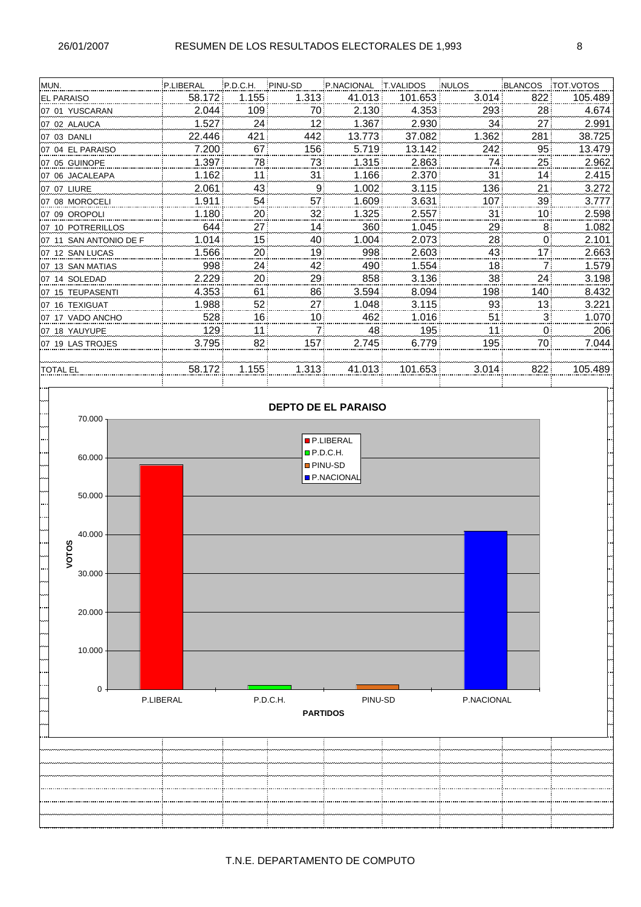| MUN.                    | P.LIBERAL | P.D.C.H.         | PINU-SD          | P.NACIONAL | <b>T.VALIDOS</b> | <b>NULOS</b> | BLANCOS         | <b>TOT VOTOS</b> |
|-------------------------|-----------|------------------|------------------|------------|------------------|--------------|-----------------|------------------|
| <b>EL PARAISO</b>       | 58.172    | 1.155            | 1.313            | 41.013     | 101.653          | 3.014        | 822             | 105.489          |
| 07 01 YUSCARAN          | 2.044     | 109 <sup>1</sup> | 70               | 2.130      | 4.353            | 293          | 28              | 4.674            |
| 07 02 ALAUCA            | 1.527     | 24!              | 12 <sub>2</sub>  | 1.367      | 2.930            | 34           | 27 <sup>1</sup> | 2.991            |
| 07 03 DANLI             | 22.446    | 421              | 442              | 13.773     | 37.082           | 1.362        | 281             | 38.725           |
| 107 04 EL PARAISO       | 7.200     | 67               | 156 <sup>1</sup> | 5.719      | 13.142           | 242          | 95              | 13.479           |
| 07 05 GUINOPE           | 1.397     | 78.              | 73               | 1.315      | 2.863            | 74           | 25              | 2.962            |
| 07 06 JACALEAPA         | 1.162     | 11               | 31               | 1.166      | 2.370            | 31           | 14              | 2.415            |
| 07 07 LIURE             | 2.061     | 43!              | 9.               | 1.002      | 3.115            | 136          | 21              | 3.272            |
| 107 08 MOROCELI         | 1.911     | 54!              | 57               | 1.609      | 3.631            | 107          | 39              | 3.777            |
| 07 09 OROPOLI           | 1.180     | 20 <sub>i</sub>  | 32 <sub>5</sub>  | 1.325      | 2.557            | 31           | 10 <sub>1</sub> | 2.598            |
| 07 10 POTRERILLOS       | 644       | 27               | 14!              | 360        | 1.045            | 29           | 8               | 1.082            |
| I07 11 SAN ANTONIO DE F | 1.014     | 15!              | 40               | 1.004      | 2.073            | 28           | $\Omega$        | 2.101            |
| 07 12 SAN LUCAS         | 1.566     | 20 <sub>1</sub>  | 19 <sup>1</sup>  | 998        | 2.603            | 43           | 17              | 2.663            |
| 107 13 SAN MATIAS       | 998       | 24!              | 42!              | 490        | 1.554            | 18           | 7               | 1.579            |
| 07 14 SOLEDAD           | 2.229     | 20               | 29               | 858        | 3.136            | 38           | 24              | 3.198            |
| 07 15 TEUPASENTI        | 4.353     | 61               | 86               | 3.594      | 8.094            | 198          | 140:            | 8.432            |
| 07 16 TEXIGUAT          | 1.988     | 52!              | 27!              | 1.048      | 3.115            | 93           | 13              | 3.221            |
| 107 17 VADO ANCHO       | 528       | 16               | 10 <sub>1</sub>  | 462        | 1.016            | 51           | 3               | 1.070            |
| 07 18 YAUYUPE           | 129       | 11               | $\overline{7}$   | 48         | 195              | 11           | 0               | 206              |
| 07 19 LAS TROJES        | 3.795     | 82               | 157              | 2.745      | 6.779            | 195          | 70              | 7.044            |
|                         |           |                  |                  |            |                  |              |                 |                  |
| <b>TOTAL EL</b>         | 58.172    | 1.155            | 1.313            | 41.013     | 101.653          | 3.014        | 822             | 105.489          |
|                         |           |                  |                  |            |                  |              |                 |                  |

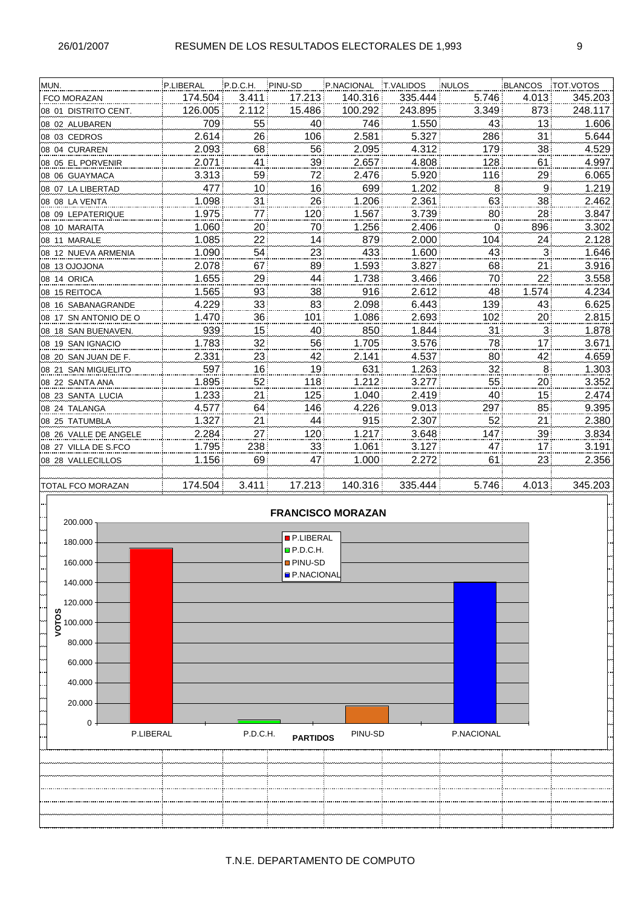| MUN.                  | P.LIBERAL | P.D.C.H.        | PINU-SD         | P.NACIONAL | <b>T.VALIDOS</b> | <b>NULOS</b> | BLANCOS      | TOT VOTOS |
|-----------------------|-----------|-----------------|-----------------|------------|------------------|--------------|--------------|-----------|
| <b>FCO MORAZAN</b>    | 174.504   | 3.411           | 17.213          | 140.316    | 335.444          | 5.746        | 4.013        | 345.203   |
| 08 01 DISTRITO CENT.  | 126.005   | 2.112           | 15.486          | 100.292    | 243.895          | 3.349        | 873          | 248.117   |
| 08 02 ALUBAREN        | 709       | 55              | 40              | 746        | 1.550            | 43           | 13           | 1.606     |
| 08 03 CEDROS          | 2.614     | 26              | 106             | 2.581      | 5.327            | 286          | 31           | 5.644     |
| 08 04 CURAREN         | 2.093     | 68              | 56              | 2.095      | 4.312            | 179          | 38           | 4.529     |
| 08 05 EL PORVENIR     | 2.071     | 41              | 39              | 2.657      | 4.808            | 128          | 61           | 4.997     |
| 08 06 GUAYMACA        | 3.313     | 59              | 72              | 2.476      | 5.920            | 116          | 29           | 6.065     |
| 08 07 LA LIBERTAD     | 477       | $10^{\circ}$    | 16              | 699        | 1.202            | 8            | 9            | 1.219     |
| 08 08 LA VENTA        | 1.098     | 31              | 26              | 1.206      | 2.361            | 63           | 38           | 2.462     |
| 08 09 LEPATERIQUE     | 1.975     | 771             | 120             | 1.567      | 3.739            | 80           | 28           | 3.847     |
| 08 10 MARAITA         | 1.060     | 20 <sub>1</sub> | 70              | 1.256      | 2.406            | $\Omega$     | 896          | 3.302     |
| 08 11 MARALE          | 1.085     | 221             | 14              | 879        | 2.000            | 104          | 24           | 2.128     |
| 08 12 NUEVA ARMENIA   | 1.090     | 54              | 23              | 433        | 1.600            | 43           | $\mathbf{3}$ | 1.646     |
| 08 13 OJOJONA         | 2.078     | 67              | 89              | 1.593      | 3.827            | 68           | 21           | 3.916     |
| 08 14 ORICA           | 1.655     | 29              | 44              | 1.738      | 3.466            | 70           | 22           | 3.558     |
| 08 15 REITOCA         | 1.565     | 93              | 38              | 916        | 2.612            | 48           | 1.574        | 4.234     |
| 08 16 SABANAGRANDE    | 4.229     | 33 <sup>1</sup> | 83              | 2.098      | 6.443            | 139          | 43           | 6.625     |
| 08 17 SN ANTONIO DE O | 1.470     | 36              | 101             | 1.086      | 2.693            | 102          | 20           | 2.815     |
| 08 18 SAN BUENAVEN.   | 939       | 15!             | 40              | 850        | 1.844            | 31           | $\mathbf{3}$ | 1.878     |
| 08 19 SAN IGNACIO     | 1.783     | 32 <sub>5</sub> | 56              | 1.705      | 3.576            | 78           | 17           | 3.671     |
| 08 20 SAN JUAN DE F.  | 2.331     | 23              | 42              | 2.141      | 4.537            | 80           | 42           | 4.659     |
| 08 21 SAN MIGUELITO   | 597       | 16!             | 19 <sup>1</sup> | 631        | 1.263            | 32           | 8            | 1.303     |
| 08 22 SANTA ANA       | 1.895     | 52              | 118             | 1.212      | 3.277            | 55           | 20           | 3.352     |
| 08 23 SANTA LUCIA     | 1.233     | 21!             | 125             | 1.040      | 2.419            | 40           | 15           | 2.474     |
| 08 24 TALANGA         | 4.577     | 64              | 146             | 4.226      | 9.013            | 297          | 85           | 9.395     |
| 08 25 TATUMBLA        | 1.327     | 21              | 44              | 915        | 2.307            | 52           | 21           | 2.380     |
| 08 26 VALLE DE ANGELE | 2.284     | 27!             | 120             | 1.217      | 3.648            | 147          | 39           | 3.834     |
| 08 27 VILLA DE S.FCO  | 1.795     | 238             | 33 <sup>1</sup> | 1.061      | 3.127            | 47           | 17           | 3.191     |
| 08 28 VALLECILLOS     | 1.156     | 69              | 47              | 1.000      | 2.272            | 61           | 23           | 2.356     |
|                       |           |                 |                 |            |                  |              |              |           |
| TOTAL ECO MORAZANI    | 174 504   | 3.411           | 17.213          | 140 316    | 335 AAA          | 5 74R        | 4 N 1 3      | 345 203   |

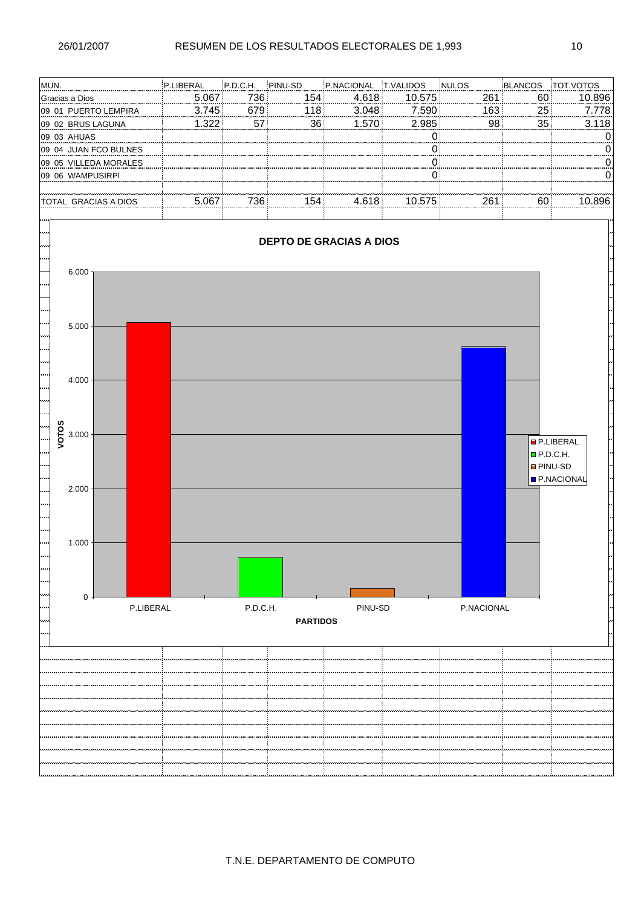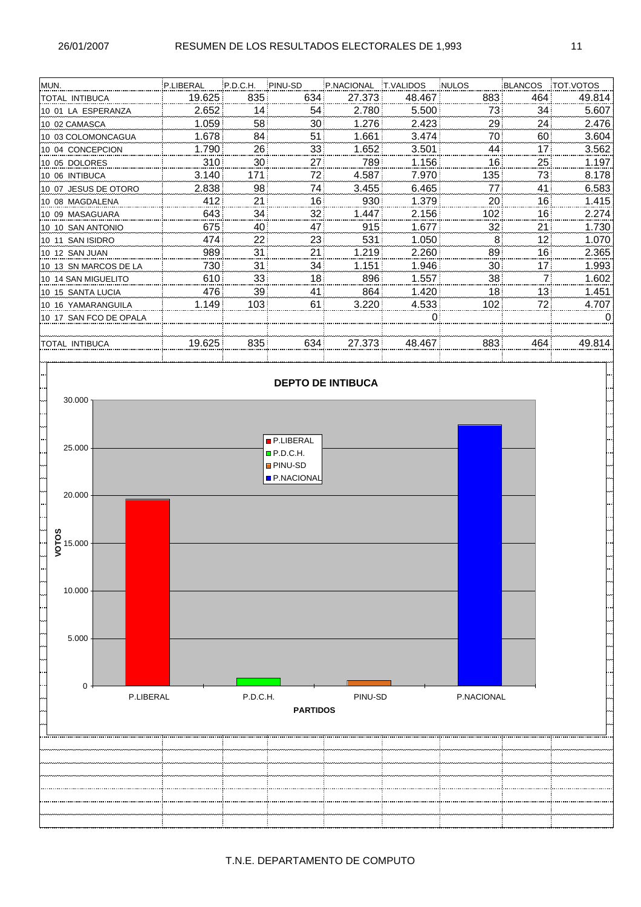| MUN.                   | P.LIBERAL | P.D.C.H.         | PINU-SD         | P.NACIONAL | <b>T.VALIDOS</b> | <b>NULOS</b> | <b>BLANCOS</b> | <b>TOT.VOTOS</b> |
|------------------------|-----------|------------------|-----------------|------------|------------------|--------------|----------------|------------------|
| <b>TOTAL INTIBUCA</b>  | 19.625    | 835:             | 634             | 27.373     | 48.467           | 883          | 464            | 49.814           |
| 10 01 LA ESPERANZA     | 2.652     | 14               | 54!             | 2.780      | 5.500            | 73           | 34             | 5.607            |
| 10 02 CAMASCA          | 1.059     | 58               | 30 i            | 1.276      | 2.423            | 29           | 24             | 2.476            |
| 10 03 COLOMONCAGUA     | 1.678     | 84               | 51!             | 1.661      | 3.474            | 70           | 60             | 3.604            |
| 10 04 CONCEPCION       | 1.790     | 26               | 33!             | 1.652      | 3.501            | 44           | 17             | 3.562            |
| 10 05 DOLORES          | 310       | 30 <sup>1</sup>  | 27!             | 789        | 1.156            | 16           | 25             | 1.197            |
| 10 06 INTIBUCA         | 3.140     | 1711             | 721             | 4.587      | 7.970            | 135          | 73             | 8.178            |
| 10 07 JESUS DE OTORO   | 2.838     | 98               | 741             | 3.455      | 6.465            | 77           | 41             | 6.583            |
| 10 08 MAGDALENA        | 412       | 21               | 16!             | 930        | 1.379            | 20           | 16             | 1.415            |
| 10 09 MASAGUARA        | 643       | 34 i             | 32 i            | 1.447      | 2.156            | 102          | 16             | 2.274            |
| 10 10 SAN ANTONIO      | 675       | 40               | 47              | 915        | 1.677            | 32           | 21             | 1.730            |
| 10 11 SAN ISIDRO       | 474       | 22!              | 23              | 531        | 1.050            | 8            | 12             | 1.070            |
| 10 12 SAN JUAN         | 989       | 31               | 21              | 1.219      | 2.260            | 89           | 16             | 2.365            |
| 10 13 SN MARCOS DE LA  | 730       | 31!              | 34              | 1.151      | 1.946            | 30           | 17             | 1.993            |
| 10 14 SAN MIGUELITO    | 610       | 33!              | 18 <sub>1</sub> | 896        | 1.557            | 38           | 7              | 1.602            |
| 10 15 SANTA LUCIA      | 476       | 39               | 41.             | 864        | 1.420            | 18           | 13             | 1.451            |
| 10 16 YAMARANGUILA     | 1.149     | 103 <sup>1</sup> | 61 i            | 3.220      | 4.533            | 102          | 72             | 4.707            |
| 10 17 SAN FCO DE OPALA |           |                  |                 |            | 0                |              |                | 0                |
|                        |           |                  |                 |            |                  |              |                |                  |
| TOTAL INTIBUCA         | 19.625    | 835              | 634             | 27.373     | 48.467           | 883          | 464            | 49.814           |
|                        |           |                  |                 |            |                  |              |                |                  |

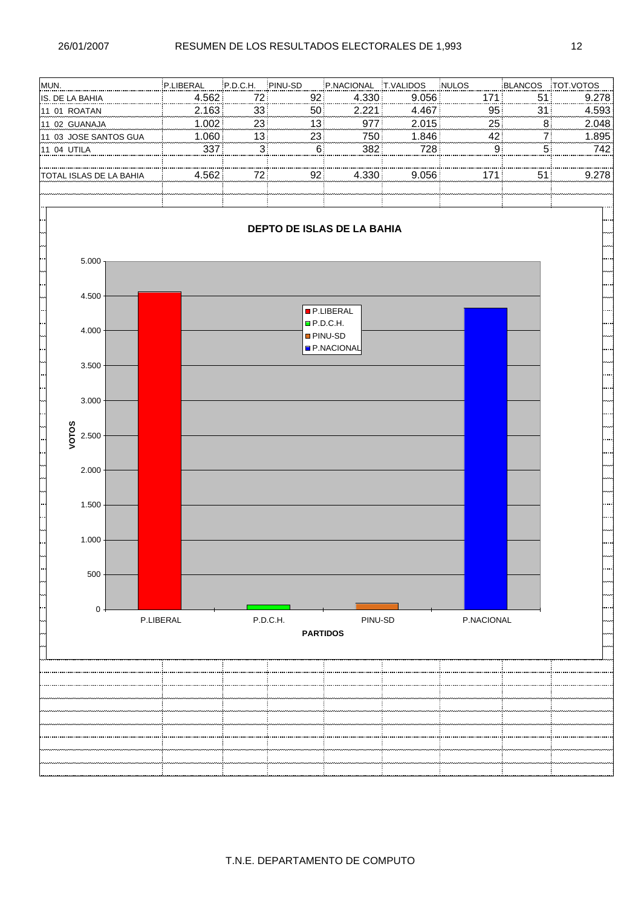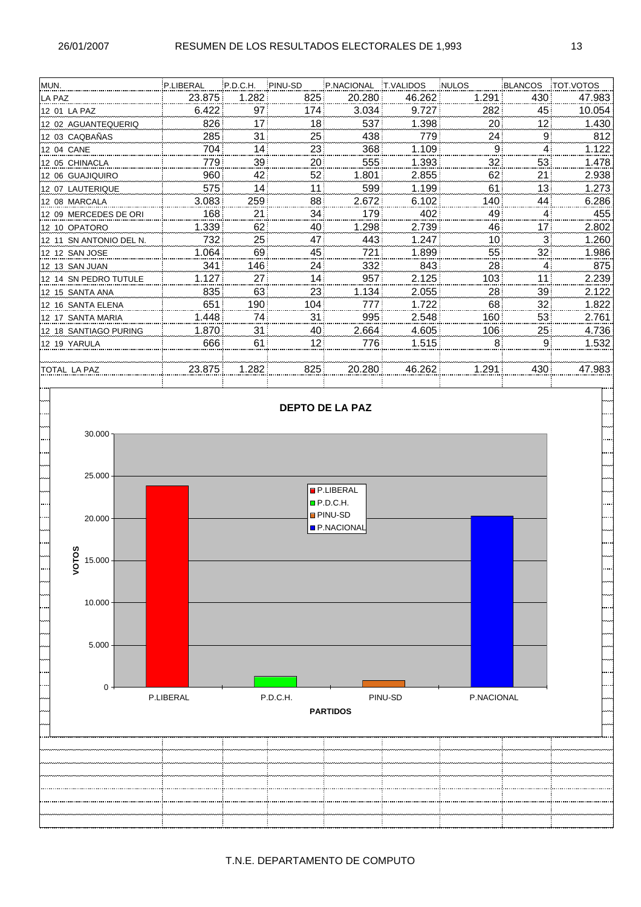| MUN.                     | P.LIBERAL | P.D.C.H.        | PINU-SD         | P.NACIONAL | <b>T.VALIDOS</b> | <b>NULOS</b> | BLANCOS         | <b>TOT VOTOS</b> |
|--------------------------|-----------|-----------------|-----------------|------------|------------------|--------------|-----------------|------------------|
| <b>LA PAZ</b>            | 23.875    | 1.282           | 825:            | 20.280     | 46.262           | 1.291        | 430             | 47.983           |
| 12 01 LA PAZ             | 6.422     | 97 <sub>1</sub> | 174             | 3.034      | 9.727            | 282          | 45              | 10.054           |
| 12 02 AGUANTEQUERIQ      | 826       | 17              | 18 <sup>1</sup> | 537        | 1.398            | 20           | 12 <sup>2</sup> | 1.430            |
| 12 03 CAQBAÑAS           | 285       | 31!             | 25              | 438        | 779              | 24           | 9               | 812              |
| 12 04 CANE               | 704       | 141             | 23              | 368        | 1.109            | 9            | $\overline{4}$  | 1.122            |
| 12 05 CHINACLA           | 779       | 39!             | 20              | 555        | 1.393            | 32           | 53              | 1.478            |
| 12 06 GUAJIQUIRO         | 960       | 42              | 52              | 1.801      | 2.855            | 62           | 21              | 2.938            |
| 12 07 LAUTERIQUE         | 575       | 14              | 11              | 599        | 1.199            | 61           | 13              | 1.273            |
| 12 08 MARCALA            | 3.083     | 259             | 88              | 2.672      | 6.102            | 140          | 44              | 6.286            |
| 12 09 MERCEDES DE ORI    | 168       | 21              | 34              | 179        | 402              | 49           | $\overline{4}$  | 455              |
| 12 10 OPATORO            | 1.339     | 62              | 40              | 1.298      | 2.739            | 46           | 17              | 2.802            |
| l12 11 SN ANTONIO DEL N. | 732       | 25!             | 47              | 443        | 1.247            | 10           | 3               | 1.260            |
| 12 12 SAN JOSE           | 1.064     | 69              | 45              | 721        | 1.899            | 55           | 32              | 1.986            |
| 12 13 SAN JUAN           | 341       | 146             | 24              | 332        | 843              | 28           | 4               | 875              |
| 12 14 SN PEDRO TUTULE    | 1.127     | 27 i            | 14              | 957        | 2.125            | 103          | 11              | 2.239            |
| 12 15 SANTA ANA          | 835       | 63              | 23              | 1.134      | 2.055            | 28           | 39              | 2.122            |
| l12 16 SANTA ELENA       | 651       | 190             | 104             | 777        | 1.722            | 68           | 32              | 1.822            |
| 12 17 SANTA MARIA        | 1.448     | 741             | 31              | 995        | 2.548            | 160          | 53              | 2.761            |
| 12 18 SANTIAGO PURING    | 1.870     | 31!             | 40              | 2.664      | 4.605            | 106          | 25 <sup>1</sup> | 4.736            |
| 12 19 YARULA             | 666       | 61              | 12              | 776        | 1.515            | 8            | 9               | 1.532            |
|                          |           |                 |                 |            |                  |              |                 |                  |
| ITOTAL LA PAZ            | 23.875    | 1.282           | 825             | 20.280     | 46.262           | 1.291        | 430             | 47.983           |
|                          |           |                 |                 |            |                  |              |                 |                  |

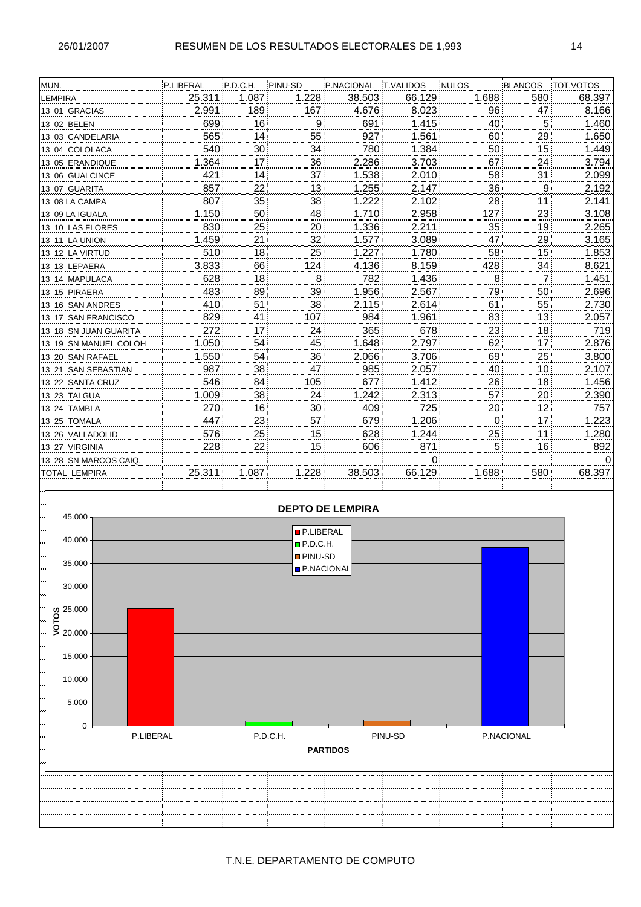| MUN.                  | P.LIBERAL | P.D.C.H.         | PINU-SD         | P.NACIONAL | <b>T.VALIDOS</b> | <b>NULOS</b> | BLANCOS         | <b>TOT.VOTOS</b> |
|-----------------------|-----------|------------------|-----------------|------------|------------------|--------------|-----------------|------------------|
| <b>LEMPIRA</b>        | 25.311    | 1.087            | 1.228           | 38.503     | 66.129           | 1.688        | 580             | 68.397           |
| 13 01 GRACIAS         | 2.991     | 189 <sup>3</sup> | 167             | 4.676      | 8.023            | 96           | 47              | 8.166            |
| 13 02 BELEN           | 699       | 16               | 9               | 691        | 1.415            | 40           | 5 <sup>1</sup>  | 1.460            |
| 13 03 CANDELARIA      | 565       | 14               | 55              | 927        | 1.561            | 60           | 29              | 1.650            |
| 13 04 COLOLACA        | 540       | 30 <sub>i</sub>  | 34              | 780        | 1.384            | 50           | 15              | 1.449            |
| 13 05 ERANDIQUE       | 1.364     | 17               | 36 <sup>1</sup> | 2.286      | 3.703            | 67           | 24              | 3.794            |
| 13 06 GUALCINCE       | 421       | 14               | 37 <sup>1</sup> | 1.538      | 2.010            | 58           | 31              | 2.099            |
| 13 07 GUARITA         | 857       | 22               | 13              | 1.255      | 2.147            | 36           | 9               | 2.192            |
| 13 08 LA CAMPA        | 807       | 35 <sup>1</sup>  | 38 <sup>1</sup> | 1.222      | 2.102            | 28           | 11              | 2.141            |
| 13 09 LA IGUALA       | 1.150     | 50               | 48              | 1.710      | 2.958            | 127          | 23              | 3.108            |
| 13 10 LAS FLORES      | 830       | 25               | 20!             | 1.336      | 2.211            | 35           | 19              | 2.265            |
| 13 11 LA UNION        | 1.459     | 21               | 32              | 1.577      | 3.089            | 47           | 29              | 3.165            |
| 13 12 LA VIRTUD       | 510       | 18               | 25              | 1.227      | 1.780            | 58           | 15              | 1.853            |
| 13 13 LEPAERA         | 3.833     | 66               | 124             | 4.136      | 8.159            | 428          | 34              | 8.621            |
| 13 14 MAPULACA        | 628       | 18 <sup>3</sup>  | 8               | 782        | 1.436            | 8            | 7               | 1.451            |
| 13 15 PIRAERA         | 483       | 89               | 39 <sup>1</sup> | 1.956      | 2.567            | 79           | 50              | 2.696            |
| 13 16 SAN ANDRES      | 410       | 51               | 38              | 2.115      | 2.614            | 61           | 55              | 2.730            |
| 13 17 SAN FRANCISCO   | 829       | 41               | 107             | 984        | 1.961            | 83           | 13              | 2.057            |
| 13 18 SN JUAN GUARITA | 272       | 17!              | 24 <sup>1</sup> | 365        | 678              | 23           | 18              | 719              |
| 13 19 SN MANUEL COLOH | 1.050     | 54               | 45              | 1.648      | 2.797            | 62           | 17 <sub>1</sub> | 2.876            |
| 13 20 SAN RAFAEL      | 1.550     | 54!              | 36 <sup>1</sup> | 2.066      | 3.706            | 69           | 25              | 3.800            |
| 13 21 SAN SEBASTIAN   | 987       | 38               | 47              | 985        | 2.057            | 40           | 10              | 2.107            |
| 13 22 SANTA CRUZ      | 546       | 84               | 105             | 677        | 1.412            | 26           | 18              | 1.456            |
| 13 23 TALGUA          | 1.009     | 38               | 24!             | 1.242      | 2.313            | 57           | 20              | 2.390            |
| 13 24 TAMBLA          | 270       | 16               | 30 <sup>1</sup> | 409        | 725              | 20           | 12              | 757              |
| 13 25 TOMALA          | 447       | 23               | 57              | 679        | 1.206            | $\mathbf 0$  | 17              | 1.223            |
| 13 26 VALLADOLID      | 576       | 25!              | 15!             | 628        | 1.244            | 25           | 11              | 1.280            |
| 13 27 VIRGINIA        | 228       | 22               | 15 <sup>1</sup> | 606        | 871              | 5            | 16              | 892              |
| 13 28 SN MARCOS CAIQ. |           |                  |                 |            | 0                |              |                 | 0                |
| <b>TOTAL LEMPIRA</b>  | 25.311    | 1.087            | 1.228           | 38.503     | 66.129           | 1.688        | 580             | 68.397           |
|                       |           |                  |                 |            |                  |              |                 |                  |

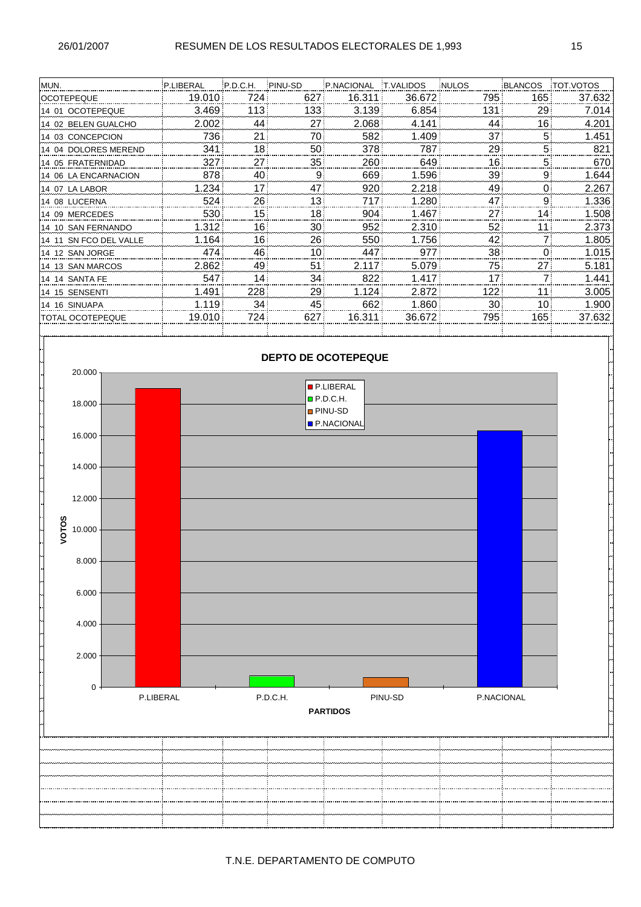| MUN.                    | P.LIBERAL | P.D.C.H.        | PINU-SD         | P.NACIONAL | <b>T.VALIDOS</b> | <b>NULOS</b> | BLANCOS        | <b>TOT.VOTOS</b> |
|-------------------------|-----------|-----------------|-----------------|------------|------------------|--------------|----------------|------------------|
| <b>OCOTEPEQUE</b>       | 19.010    | 724             | 627             | 16.311     | 36.672           | 795          | 165            | 37.632           |
| 14 01 OCOTEPEQUE        | 3.469     | 113!            | 133             | 3.139      | 6.854            | 131          | 29             | 7.014            |
| 14 02 BELEN GUALCHO     | 2.002     | 44              | 27              | 2.068      | 4.141            | 44           | 16             | 4.201            |
| 14 03 CONCEPCION        | 736       | 21              | 70!             | 582        | 1.409            | 37           | 5              | 1.451            |
| 14 04 DOLORES MEREND    | 341       | 18 <sup>1</sup> | 50              | 378        | 787              | 29           | 5              | 821              |
| 14 05 FRATERNIDAD       | 327       | 27              | 35              | 260        | 649              | 16           | 5              | 670              |
| 14 06 LA ENCARNACION    | 878       | 40              | 9               | 669        | 1.596            | 39           | 9              | 1.644            |
| 14 07 LA LABOR          | 1.234     | 17              | 47              | 920        | 2.218            | 49           | 0              | 2.267            |
| 14 08 LUCERNA           | 524       | 26!             | 13 <sub>1</sub> | 717        | 1.280            | 47           | 9              | 1.336            |
| 14 09 MERCEDES          | 530       | 15 <sub>i</sub> | 18 <sup>1</sup> | 904        | 1.467            | 27           | 14             | 1.508            |
| 14 10 SAN FERNANDO      | 1.312     | 16!             | 30 i            | 952        | 2.310            | 52           | 11             | 2.373            |
| 14 11 SN FCO DEL VALLE  | 1.164     | 16!             | 26              | 550        | 1.756            | 42           | 7              | 1.805            |
| 14 12 SAN JORGE         | 474       | 46              | 10              | 447        | 977              | 38           | 0              | 1.015            |
| 14 13 SAN MARCOS        | 2.862     | 49              | 51              | 2.117      | 5.079            | 75           | 27             | 5.181            |
| 14 14 SANTA FE          | 547       | 14              | 34              | 822        | 1.417            | 17           | $\overline{7}$ | 1.441            |
| 14 15 SENSENTI          | 1.491     | 228             | 29              | 1.124      | 2.872            | 122          | 11             | 3.005            |
| 14 16 SINUAPA           | 1.119     | 34              | 45              | 662        | 1.860            | 30           | 10             | 1.900            |
| <b>TOTAL OCOTEPEQUE</b> | 19.010    | 724             | 627             | 16.311     | 36.672           | 795          | 165            | 37.632           |
|                         |           |                 |                 |            |                  |              |                |                  |

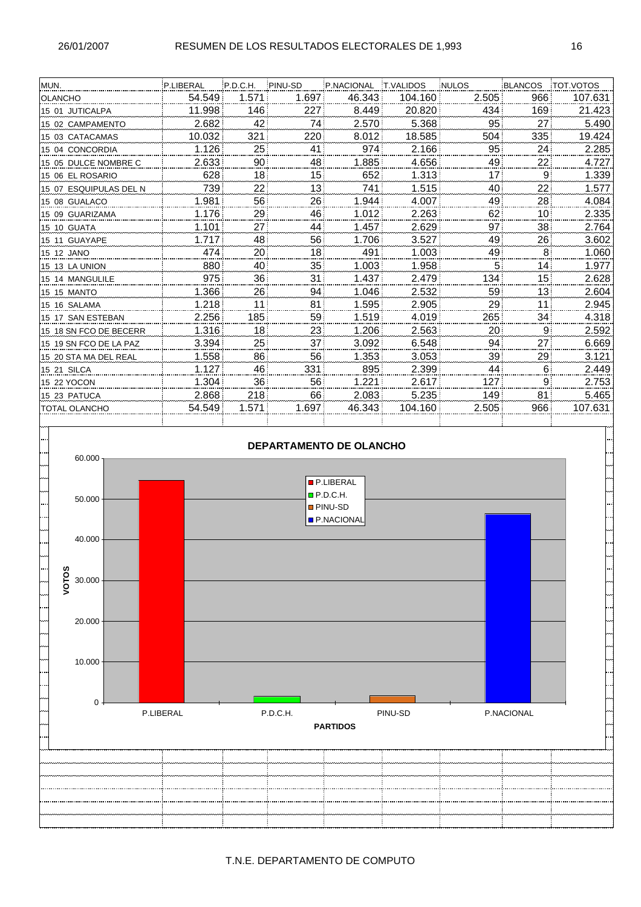| MUN.                   | P.LIBERAL | P.D.C.H.        | PINU-SD         | P.NACIONAL | <b>T.VALIDOS</b> | <b>NULOS</b> | BLANCOS         | <b>TOT VOTOS</b> |
|------------------------|-----------|-----------------|-----------------|------------|------------------|--------------|-----------------|------------------|
| <b>OLANCHO</b>         | 54.549    | 1.571           | 1.697           | 46.343     | 104.160          | 2.505        | 966             | 107.631          |
| 15 01 JUTICALPA        | 11.998    | 146             | 227             | 8.449      | 20.820           | 434          | 169             | 21.423           |
| 15 02 CAMPAMENTO       | 2.682     | 42              | 74              | 2.570      | 5.368            | 95           | 27              | 5.490            |
| 15 03 CATACAMAS        | 10.032    | 321             | 220             | 8.012      | 18.585           | 504          | 335             | 19.424           |
| 15 04 CONCORDIA        | 1.126     | 25 <sub>1</sub> | 41              | 974        | 2.166            | 95           | 24              | 2.285            |
| 15 05 DULCE NOMBRE C   | 2.633     | 90 <sup>1</sup> | 48              | 1.885      | 4.656            | 49           | 22              | 4.727            |
| 15 06 EL ROSARIO       | 628       | 18 <sup>1</sup> | 15              | 652        | 1.313            | 17           | 9               | 1.339            |
| 15 07 ESQUIPULAS DEL N | 739       | 22              | 13              | 741        | 1.515            | 40           | 22              | 1.577            |
| 15 08 GUALACO          | 1.981     | 56!             | 26!             | 1.944      | 4.007            | 49           | 28              | 4.084            |
| 15 09 GUARIZAMA        | 1.176     | 29              | 46              | 1.012      | 2.263            | 62           | 10 <sup>1</sup> | 2.335            |
| 15 10 GUATA            | 1.101     | ا 27            | 44              | 1.457      | 2.629            | 97           | 38              | 2.764            |
| 15 11 GUAYAPE          | 1.717     | 48              | 56!             | 1.706      | 3.527            | 49           | 26              | 3.602            |
| 15 12 JANO             | 474       | ا 20            | 18 <sup>1</sup> | 491        | 1.003            | 49           | 8               | 1.060            |
| 15 13 LA UNION         | 880       | 40              | 35!             | 1.003      | 1.958            | 5            | 14              | 1.977            |
| 15 14 MANGULILE        | 975       | 36              | 31              | 1.437      | 2.479            | 134          | 15              | 2.628            |
| 15 15 MANTO            | 1.366     | 26              | 94              | 1.046      | 2.532            | 59           | 13 <sub>1</sub> | 2.604            |
| 15 16 SALAMA           | 1.218     | 11              | 81              | 1.595      | 2.905            | 29           | 11              | 2.945            |
| 15 17 SAN ESTEBAN      | 2.256     | 185             | 59              | 1.519      | 4.019            | 265          | 34              | 4.318            |
| 15 18 SN FCO DE BECERR | 1.316     | 18!             | 23              | 1.206      | 2.563            | 20           | 9               | 2.592            |
| 15 19 SN FCO DE LA PAZ | 3.394     | 25              | 37              | 3.092      | 6.548            | 94           | 27              | 6.669            |
| 15 20 STA MA DEL REAL  | 1.558     | 86              | 56              | 1.353      | 3.053            | 39           | 29              | 3.121            |
| 15 21 SILCA            | 1.127     | 46              | 331             | 895        | 2.399            | 44           | 6               | 2.449            |
| 15 22 YOCON            | 1.304     | 36 i            | 56              | 1.221      | 2.617            | 127          | 9               | 2.753            |
| 15 23 PATUCA           | 2.868     | 218             | 66              | 2.083      | 5.235            | 149          | 81              | 5.465            |
| <b>TOTAL OLANCHO</b>   | 54.549    | 1.571           | 1.697           | 46.343     | 104.160          | 2.505        | 966             | 107.631          |
|                        |           |                 |                 |            |                  |              |                 |                  |

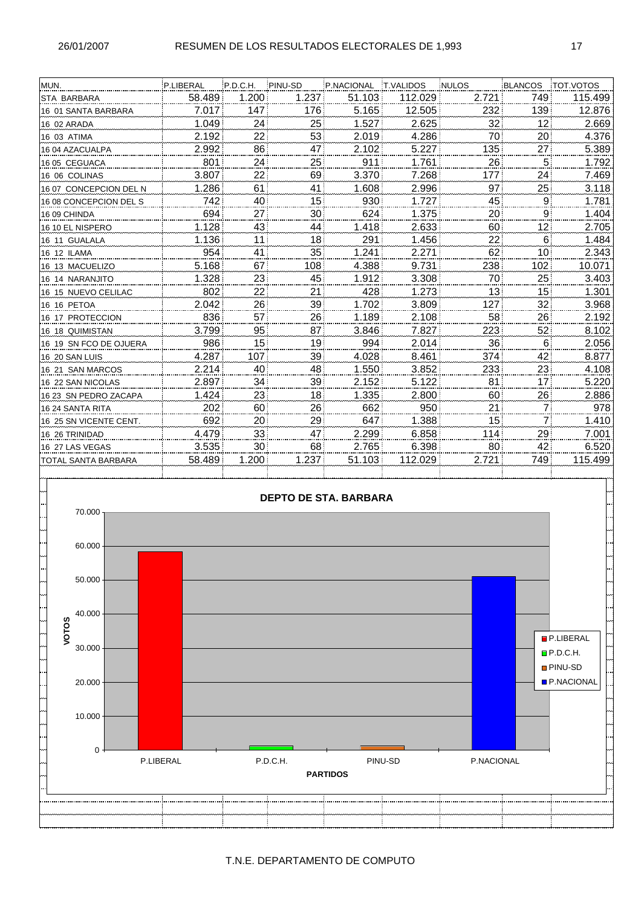| P.LIBERAL |                 |                 |                 |                  |              |                 |                  |
|-----------|-----------------|-----------------|-----------------|------------------|--------------|-----------------|------------------|
|           | P.D.C.H.        | PINU-SD         | P.NACIONAL      | <b>T.VALIDOS</b> | <b>NULOS</b> | <b>BLANCOS</b>  | <b>TOT.VOTOS</b> |
| 58.489    | 1.200           | 1.237           | 51.103          | 112.029          | 2.721        | 749             | 115.499          |
| 7.017     | 147             | 176             | 5.165           | 12.505           | 232          | 139             | 12.876           |
| 1.049     | 24              | 25 <sup>1</sup> | 1.527           | 2.625            | 32           | 12 <sub>1</sub> | 2.669            |
| 2.192     |                 | 53              | 2.019           | 4.286            | 70           | 20 <sup>1</sup> | 4.376            |
| 2.992     | 86              | 47              | 2.102           | 5.227            | 135          | 27!             | 5.389            |
| 801       |                 | 25              | 911             | 1.761            | 26           | 5¦              | 1.792            |
| 3.807     | 22              | 69              | 3.370           | 7.268            | 177          | 24!             | 7.469            |
| 1.286     | 61              | 41              | 1.608           | 2.996            | 97           | 25              | 3.118            |
| 742       | 40              | 15 <sup>1</sup> | 930             | 1.727            | 45           | 9               | 1.781            |
| 694       | 27              | 30              | 624             | 1.375            | 20           | 9               | 1.404            |
| 1.128     | 43              | 44              | 1.418           | 2.633            | 60           | 12              | 2.705            |
| 1.136     | 11              | 18 <sup>1</sup> | 291             | 1.456            | 22           | 6               | 1.484            |
| 954       | 41              | 35              | 1.241           | 2.271            | 62           | 10 <sup>1</sup> | 2.343            |
| 5.168     | 67              | 108             | 4.388           | 9.731            | 238          | 102             | 10.071           |
| 1.328     | 23              | 45              | 1.912           | 3.308            | 70           | 25              | 3.403            |
| 802       |                 | 21              | 428             | 1.273            | 13           | 15 <sup>1</sup> | 1.301            |
| 2.042     | 26              | 39              | 1.702           | 3.809            | 127          | 32!             | 3.968            |
| 836       | 57              | 26              | 1.189           | 2.108            | 58           | 26              | 2.192            |
| 3.799     | 95              | 87              | 3.846           | 7.827            | 223          | 52              | 8.102            |
| 986       | 15 <sup>1</sup> | 19 <sup>1</sup> | 994             | 2.014            | 36           | 6               | 2.056            |
| 4.287     | 107             | 39              | 4.028           | 8.461            | 374          | 42              | 8.877            |
| 2.214     | 40              | 48              | 1.550           | 3.852            | 233          | 23              | 4.108            |
| 2.897     | 34              | 39              | 2.152           | 5.122            | 81           | 17 <sup>1</sup> | 5.220            |
| 1.424     | 23              | 18!             | 1.335           | 2.800            | 60           | 26              | 2.886            |
| 202       | 60              | 26              | 662             | 950              | 21           | 71              | 978              |
| 692       | 20              | 29              | 647             | 1.388            | 15           | 7               | 1.410            |
| 4.479     | 33              | 47              | 2.299           | 6.858            | 114          | 29              | 7.001            |
| 3.535     | 30              | 68              | 2.765           | 6.398            | 80           | 42              | 6.520            |
| 58.489    | 1.200           | 1.237           | 51.103          | 112.029          | 2.721        | 749             | 115.499          |
|           |                 |                 | 22!<br>24<br>22 |                  |              |                 |                  |

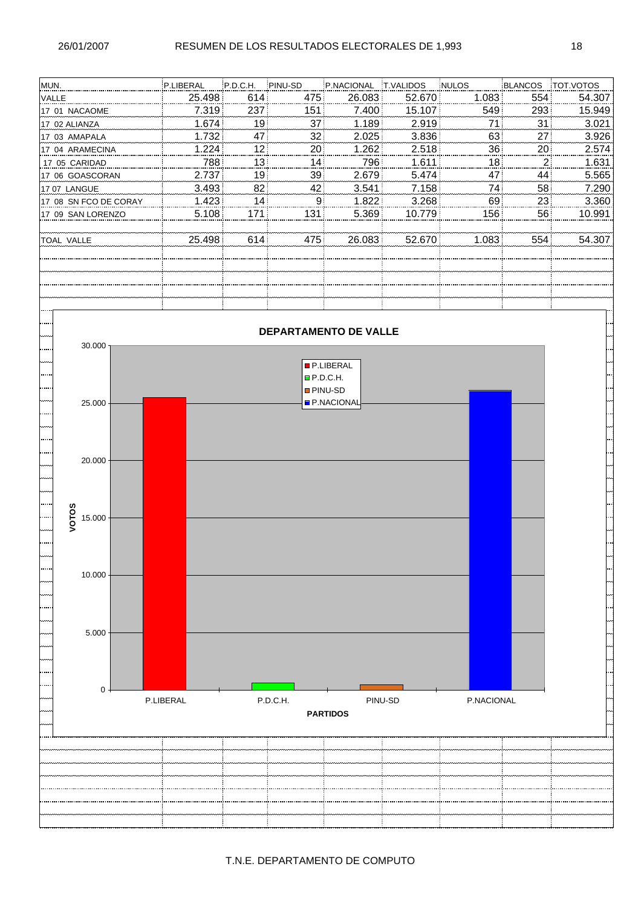